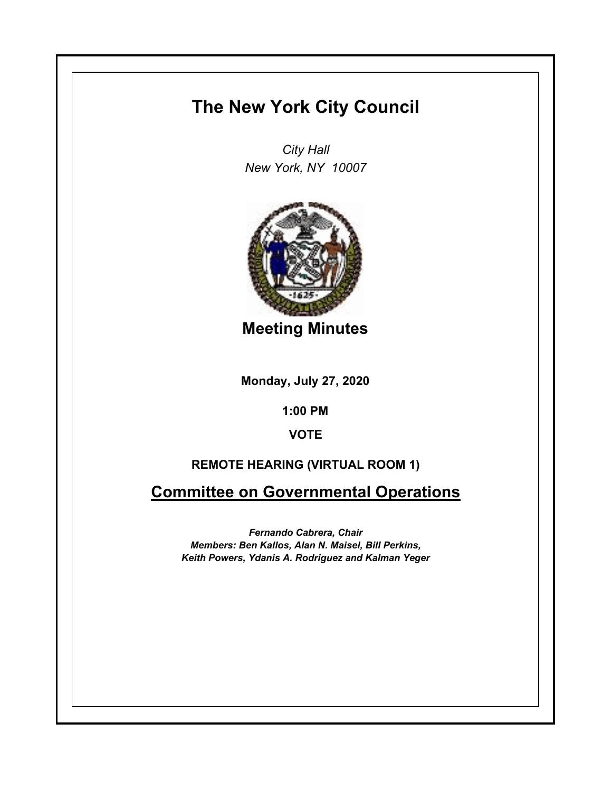# **The New York City Council**

*City Hall New York, NY 10007*



**Meeting Minutes**

**Monday, July 27, 2020**

**1:00 PM**

**VOTE**

# **REMOTE HEARING (VIRTUAL ROOM 1)**

**Committee on Governmental Operations**

*Fernando Cabrera, Chair Members: Ben Kallos, Alan N. Maisel, Bill Perkins, Keith Powers, Ydanis A. Rodriguez and Kalman Yeger*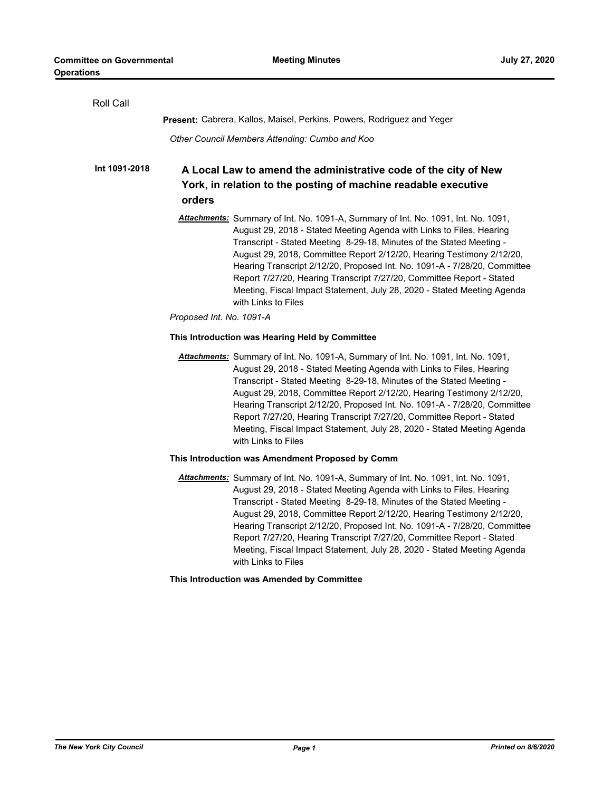| <b>Roll Call</b> |                                                                                                                                                                                                                                                                                                                                                                                                                                                                                                                                                                    |
|------------------|--------------------------------------------------------------------------------------------------------------------------------------------------------------------------------------------------------------------------------------------------------------------------------------------------------------------------------------------------------------------------------------------------------------------------------------------------------------------------------------------------------------------------------------------------------------------|
|                  | <b>Present:</b> Cabrera, Kallos, Maisel, Perkins, Powers, Rodriguez and Yeger                                                                                                                                                                                                                                                                                                                                                                                                                                                                                      |
|                  | Other Council Members Attending: Cumbo and Koo                                                                                                                                                                                                                                                                                                                                                                                                                                                                                                                     |
| Int 1091-2018    | A Local Law to amend the administrative code of the city of New<br>York, in relation to the posting of machine readable executive<br>orders                                                                                                                                                                                                                                                                                                                                                                                                                        |
|                  | Attachments: Summary of Int. No. 1091-A, Summary of Int. No. 1091, Int. No. 1091,<br>August 29, 2018 - Stated Meeting Agenda with Links to Files, Hearing<br>Transcript - Stated Meeting 8-29-18, Minutes of the Stated Meeting -<br>August 29, 2018, Committee Report 2/12/20, Hearing Testimony 2/12/20,<br>Hearing Transcript 2/12/20, Proposed Int. No. 1091-A - 7/28/20, Committee<br>Report 7/27/20, Hearing Transcript 7/27/20, Committee Report - Stated<br>Meeting, Fiscal Impact Statement, July 28, 2020 - Stated Meeting Agenda<br>with Links to Files |
|                  | Proposed Int. No. 1091-A                                                                                                                                                                                                                                                                                                                                                                                                                                                                                                                                           |
|                  | This Introduction was Hearing Held by Committee                                                                                                                                                                                                                                                                                                                                                                                                                                                                                                                    |
|                  | Attachments: Summary of Int. No. 1091-A, Summary of Int. No. 1091, Int. No. 1091,<br>August 29, 2018 - Stated Meeting Agenda with Links to Files, Hearing<br>Transcript - Stated Meeting 8-29-18, Minutes of the Stated Meeting -<br>August 29, 2018, Committee Report 2/12/20, Hearing Testimony 2/12/20,<br>Hearing Transcript 2/12/20, Proposed Int. No. 1091-A - 7/28/20, Committee<br>Report 7/27/20, Hearing Transcript 7/27/20, Committee Report - Stated<br>Meeting, Fiscal Impact Statement, July 28, 2020 - Stated Meeting Agenda<br>with Links to Files |
|                  | This Introduction was Amendment Proposed by Comm                                                                                                                                                                                                                                                                                                                                                                                                                                                                                                                   |
|                  | Attachments: Summary of Int. No. 1091-A, Summary of Int. No. 1091, Int. No. 1091,<br>August 29, 2018 - Stated Meeting Agenda with Links to Files, Hearing<br>Transcript - Stated Meeting 8-29-18, Minutes of the Stated Meeting -<br>August 29, 2018, Committee Report 2/12/20, Hearing Testimony 2/12/20,<br>Hearing Transcript 2/12/20, Proposed Int. No. 1091-A - 7/28/20, Committee<br>Report 7/27/20, Hearing Transcript 7/27/20, Committee Report - Stated<br>Meeting, Fiscal Impact Statement, July 28, 2020 - Stated Meeting Agenda<br>with Links to Files |
|                  | This Introduction was Amended by Committee                                                                                                                                                                                                                                                                                                                                                                                                                                                                                                                         |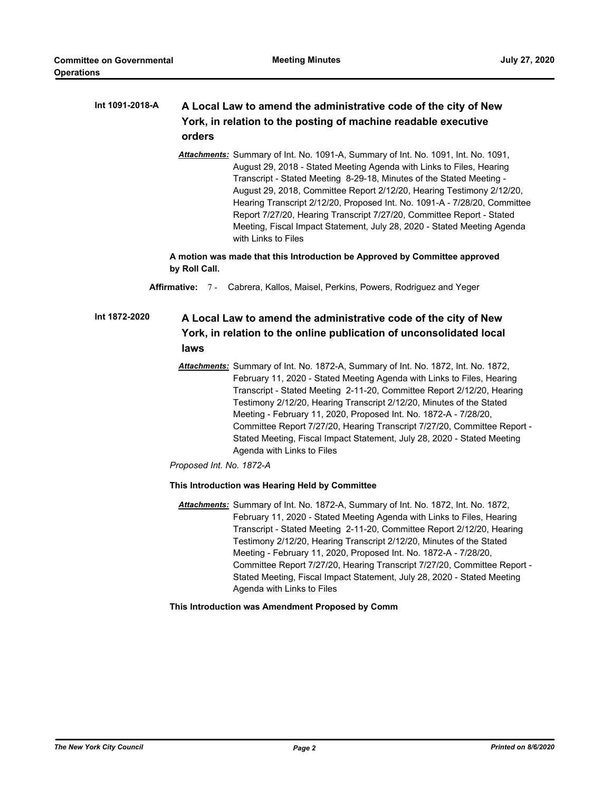#### **A Local Law to amend the administrative code of the city of New York, in relation to the posting of machine readable executive orders Int 1091-2018-A**

*Attachments:* Summary of Int. No. 1091-A, Summary of Int. No. 1091, Int. No. 1091, August 29, 2018 - Stated Meeting Agenda with Links to Files, Hearing Transcript - Stated Meeting 8-29-18, Minutes of the Stated Meeting - August 29, 2018, Committee Report 2/12/20, Hearing Testimony 2/12/20, Hearing Transcript 2/12/20, Proposed Int. No. 1091-A - 7/28/20, Committee Report 7/27/20, Hearing Transcript 7/27/20, Committee Report - Stated Meeting, Fiscal Impact Statement, July 28, 2020 - Stated Meeting Agenda with Links to Files

**A motion was made that this Introduction be Approved by Committee approved by Roll Call.**

**Affirmative:** 7 - Cabrera, Kallos, Maisel, Perkins, Powers, Rodriguez and Yeger

#### **A Local Law to amend the administrative code of the city of New York, in relation to the online publication of unconsolidated local laws Int 1872-2020**

*Attachments:* Summary of Int. No. 1872-A, Summary of Int. No. 1872, Int. No. 1872, February 11, 2020 - Stated Meeting Agenda with Links to Files, Hearing Transcript - Stated Meeting 2-11-20, Committee Report 2/12/20, Hearing Testimony 2/12/20, Hearing Transcript 2/12/20, Minutes of the Stated Meeting - February 11, 2020, Proposed Int. No. 1872-A - 7/28/20, Committee Report 7/27/20, Hearing Transcript 7/27/20, Committee Report - Stated Meeting, Fiscal Impact Statement, July 28, 2020 - Stated Meeting Agenda with Links to Files

*Proposed Int. No. 1872-A*

### **This Introduction was Hearing Held by Committee**

*Attachments:* Summary of Int. No. 1872-A, Summary of Int. No. 1872, Int. No. 1872, February 11, 2020 - Stated Meeting Agenda with Links to Files, Hearing Transcript - Stated Meeting 2-11-20, Committee Report 2/12/20, Hearing Testimony 2/12/20, Hearing Transcript 2/12/20, Minutes of the Stated Meeting - February 11, 2020, Proposed Int. No. 1872-A - 7/28/20, Committee Report 7/27/20, Hearing Transcript 7/27/20, Committee Report - Stated Meeting, Fiscal Impact Statement, July 28, 2020 - Stated Meeting Agenda with Links to Files

### **This Introduction was Amendment Proposed by Comm**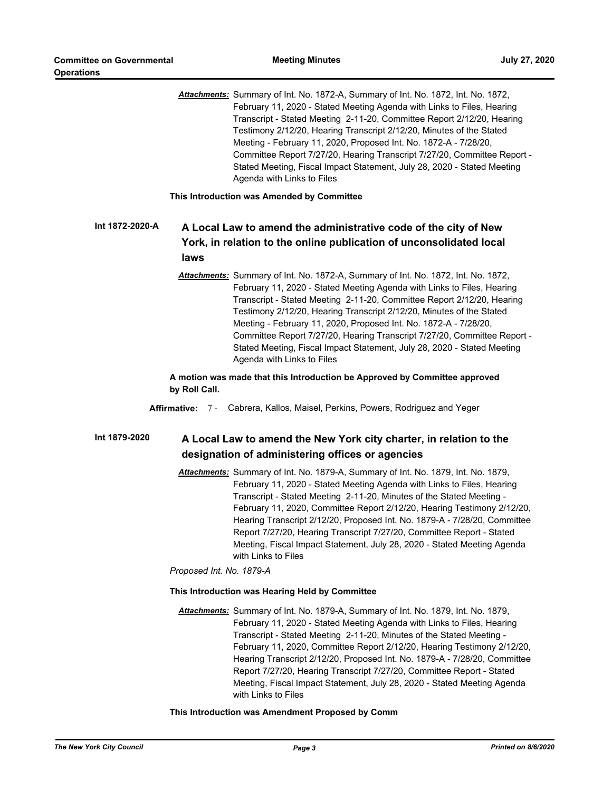*Attachments:* Summary of Int. No. 1872-A, Summary of Int. No. 1872, Int. No. 1872, February 11, 2020 - Stated Meeting Agenda with Links to Files, Hearing Transcript - Stated Meeting 2-11-20, Committee Report 2/12/20, Hearing Testimony 2/12/20, Hearing Transcript 2/12/20, Minutes of the Stated Meeting - February 11, 2020, Proposed Int. No. 1872-A - 7/28/20, Committee Report 7/27/20, Hearing Transcript 7/27/20, Committee Report - Stated Meeting, Fiscal Impact Statement, July 28, 2020 - Stated Meeting Agenda with Links to Files

**This Introduction was Amended by Committee**

#### **A Local Law to amend the administrative code of the city of New York, in relation to the online publication of unconsolidated local laws Int 1872-2020-A**

*Attachments:* Summary of Int. No. 1872-A, Summary of Int. No. 1872, Int. No. 1872, February 11, 2020 - Stated Meeting Agenda with Links to Files, Hearing Transcript - Stated Meeting 2-11-20, Committee Report 2/12/20, Hearing Testimony 2/12/20, Hearing Transcript 2/12/20, Minutes of the Stated Meeting - February 11, 2020, Proposed Int. No. 1872-A - 7/28/20, Committee Report 7/27/20, Hearing Transcript 7/27/20, Committee Report - Stated Meeting, Fiscal Impact Statement, July 28, 2020 - Stated Meeting Agenda with Links to Files

**A motion was made that this Introduction be Approved by Committee approved by Roll Call.**

**Affirmative:** 7 - Cabrera, Kallos, Maisel, Perkins, Powers, Rodriguez and Yeger

#### **A Local Law to amend the New York city charter, in relation to the designation of administering offices or agencies Int 1879-2020**

*Attachments:* Summary of Int. No. 1879-A, Summary of Int. No. 1879, Int. No. 1879, February 11, 2020 - Stated Meeting Agenda with Links to Files, Hearing Transcript - Stated Meeting 2-11-20, Minutes of the Stated Meeting - February 11, 2020, Committee Report 2/12/20, Hearing Testimony 2/12/20, Hearing Transcript 2/12/20, Proposed Int. No. 1879-A - 7/28/20, Committee Report 7/27/20, Hearing Transcript 7/27/20, Committee Report - Stated Meeting, Fiscal Impact Statement, July 28, 2020 - Stated Meeting Agenda with Links to Files

*Proposed Int. No. 1879-A*

### **This Introduction was Hearing Held by Committee**

*Attachments:* Summary of Int. No. 1879-A, Summary of Int. No. 1879, Int. No. 1879, February 11, 2020 - Stated Meeting Agenda with Links to Files, Hearing Transcript - Stated Meeting 2-11-20, Minutes of the Stated Meeting - February 11, 2020, Committee Report 2/12/20, Hearing Testimony 2/12/20, Hearing Transcript 2/12/20, Proposed Int. No. 1879-A - 7/28/20, Committee Report 7/27/20, Hearing Transcript 7/27/20, Committee Report - Stated Meeting, Fiscal Impact Statement, July 28, 2020 - Stated Meeting Agenda with Links to Files

### **This Introduction was Amendment Proposed by Comm**